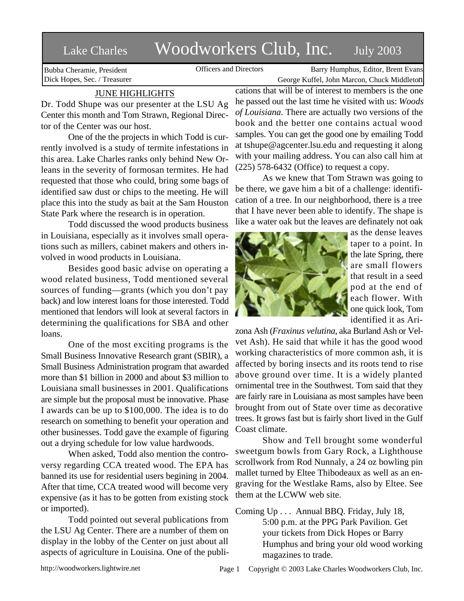## Lake Charles Woodworkers Club, Inc. July 2003

Bubba Cheramie, President Dick Hopes, Sec. / Treasurer

Officers and Directors Barry Humphus, Editor, Brent Evans George Kuffel, John Marcon, Chuck Middleton

## JUNE HIGHLIGHTS

Dr. Todd Shupe was our presenter at the LSU Ag Center this month and Tom Strawn, Regional Director of the Center was our host.

One of the the projects in which Todd is currently involved is a study of termite infestations in this area. Lake Charles ranks only behind New Orleans in the severity of formosan termites. He had requested that those who could, bring some bags of identified saw dust or chips to the meeting. He will place this into the study as bait at the Sam Houston State Park where the research is in operation.

Todd discussed the wood products business in Louisiana, especially as it involves small operations such as millers, cabinet makers and others involved in wood products in Louisiana.

Besides good basic advise on operating a wood related business, Todd mentioned several sources of funding—grants (which you don't pay back) and low interest loans for those interested. Todd mentioned that lendors will look at several factors in determining the qualifications for SBA and other loans.

One of the most exciting programs is the Small Business Innovative Research grant (SBIR), a Small Business Administration program that awarded more than \$1 billion in 2000 and about \$3 million to Louisiana small businesses in 2001. Qualifications are simple but the proposal must be innovative. Phase I awards can be up to \$100,000. The idea is to do research on something to benefit your operation and other businesses. Todd gave the example of figuring out a drying schedule for low value hardwoods.

When asked, Todd also mention the controversy regarding CCA treated wood. The EPA has banned its use for residential users begining in 2004. After that time, CCA treated wood will become very expensive (as it has to be gotten from existing stock or imported).

Todd pointed out several publications from the LSU Ag Center. There are a number of them on display in the lobby of the Center on just about all aspects of agriculture in Louisina. One of the publications that will be of interest to members is the one he passed out the last time he visited with us: *Woods of Louisiana*. There are actually two versions of the book and the better one contains actual wood samples. You can get the good one by emailing Todd at tshupe@agcenter.lsu.edu and requesting it along with your mailing address. You can also call him at (225) 578-6432 (Office) to request a copy.

As we knew that Tom Strawn was going to be there, we gave him a bit of a challenge: identification of a tree. In our neighborhood, there is a tree that I have never been able to identify. The shape is like a water oak but the leaves are definately not oak



as the dense leaves taper to a point. In the late Spring, there are small flowers that result in a seed pod at the end of each flower. With one quick look, Tom identified it as Ari-

zona Ash (*Fraxinus velutina*, aka Burland Ash or Velvet Ash). He said that while it has the good wood working characteristics of more common ash, it is affected by boring insects and its roots tend to rise above ground over time. It is a widely planted ornimental tree in the Southwest. Tom said that they are fairly rare in Louisiana as most samples have been brought from out of State over time as decorative trees. It grows fast but is fairly short lived in the Gulf Coast climate.

Show and Tell brought some wonderful sweetgum bowls from Gary Rock, a Lighthouse scrollwork from Rod Nunnaly, a 24 oz bowling pin mallet turned by Eltee Thibodeaux as well as an engraving for the Westlake Rams, also by Eltee. See them at the LCWW web site.

Coming Up . . . Annual BBQ. Friday, July 18, 5:00 p.m. at the PPG Park Pavilion. Get your tickets from Dick Hopes or Barry Humphus and bring your old wood working magazines to trade.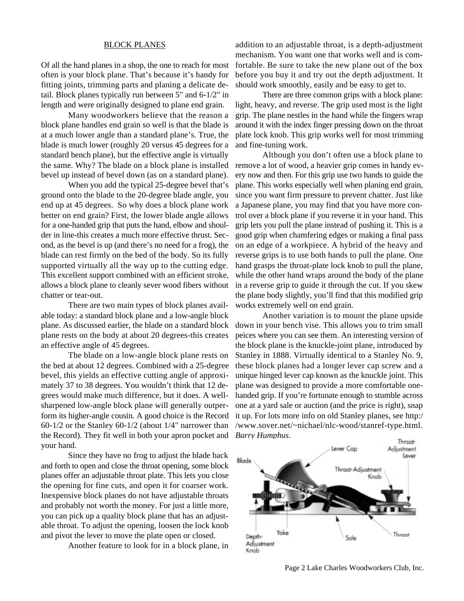## BLOCK PLANES

Of all the hand planes in a shop, the one to reach for most often is your block plane. That's because it's handy for fitting joints, trimming parts and planing a delicate detail. Block planes typically run between 5" and 6-1/2" in length and were originally designed to plane end grain.

Many woodworkers believe that the reason a block plane handles end grain so well is that the blade is at a much lower angle than a standard plane's. True, the blade is much lower (roughly 20 versus 45 degrees for a standard bench plane), but the effective angle is virtually the same. Why? The blade on a block plane is installed bevel up instead of bevel down (as on a standard plane).

When you add the typical 25-degree bevel that's ground onto the blade to the 20-degree blade angle, you end up at 45 degrees. So why does a block plane work better on end grain? First, the lower blade angle allows for a one-handed grip that puts the hand, elbow and shoulder in line-this creates a much more effective thrust. Second, as the bevel is up (and there's no need for a frog), the blade can rest firmly on the bed of the body. So its fully supported virtually all the way up to the cutting edge. This excellent support combined with an efficient stroke, allows a block plane to cleanly sever wood fibers without chatter or tear-out.

There are two main types of block planes available today: a standard block plane and a low-angle block plane. As discussed earlier, the blade on a standard block plane rests on the body at about 20 degrees-this creates an effective angle of 45 degrees.

The blade on a low-angle block plane rests on the bed at about 12 degrees. Combined with a 25-degree bevel, this yields an effective cutting angle of approximately 37 to 38 degrees. You wouldn't think that 12 degrees would make much difference, but it does. A wellsharpened low-angle block plane will generally outperform its higher-angle cousin. A good choice is the Record 60-1/2 or the Stanley 60-1/2 (about 1/4" narrower than the Record). They fit well in both your apron pocket and *Barry Humphus*.your hand.

Since they have no frog to adjust the blade back and forth to open and close the throat opening, some block planes offer an adjustable throat plate. This lets you close the opening for fine cuts, and open it for coarser work. Inexpensive block planes do not have adjustable throats and probably not worth the money. For just a little more, you can pick up a quality block plane that has an adjustable throat. To adjust the opening, loosen the lock knob and pivot the lever to move the plate open or closed.

Another feature to look for in a block plane, in

addition to an adjustable throat, is a depth-adjustment mechanism. You want one that works well and is comfortable. Be sure to take the new plane out of the box before you buy it and try out the depth adjustment. It should work smoothly, easily and be easy to get to.

There are three common grips with a block plane: light, heavy, and reverse. The grip used most is the light grip. The plane nestles in the hand while the fingers wrap around it with the index finger pressing down on the throat plate lock knob. This grip works well for most trimming and fine-tuning work.

Although you don't often use a block plane to remove a lot of wood, a heavier grip comes in handy every now and then. For this grip use two hands to guide the plane. This works especially well when planing end grain, since you want firm pressure to prevent chatter. Just like a Japanese plane, you may find that you have more control over a block plane if you reverse it in your hand. This grip lets you pull the plane instead of pushing it. This is a good grip when chamfering edges or making a final pass on an edge of a workpiece. A hybrid of the heavy and reverse grips is to use both hands to pull the plane. One hand grasps the throat-plate lock knob to pull the plane, while the other hand wraps around the body of the plane in a reverse grip to guide it through the cut. If you skew the plane body slightly, you'll find that this modified grip works extremely well on end grain.

Another variation is to mount the plane upside down in your bench vise. This allows you to trim small peices where you can see them. An interesting version of the block plane is the knuckle-joint plane, introduced by Stanley in 1888. Virtually identical to a Stanley No. 9, these block planes had a longer lever cap screw and a unique hinged lever cap known as the knuckle joint. This plane was designed to provide a more comfortable onehanded grip. If you're fortunate enough to stumble across one at a yard sale or auction (and the price is right), snap it up. For lots more info on old Stanley planes, see http:/ /www.sover.net/~nichael/nlc-wood/stanref-type.html.



Page 2 Lake Charles Woodworkers Club, Inc.